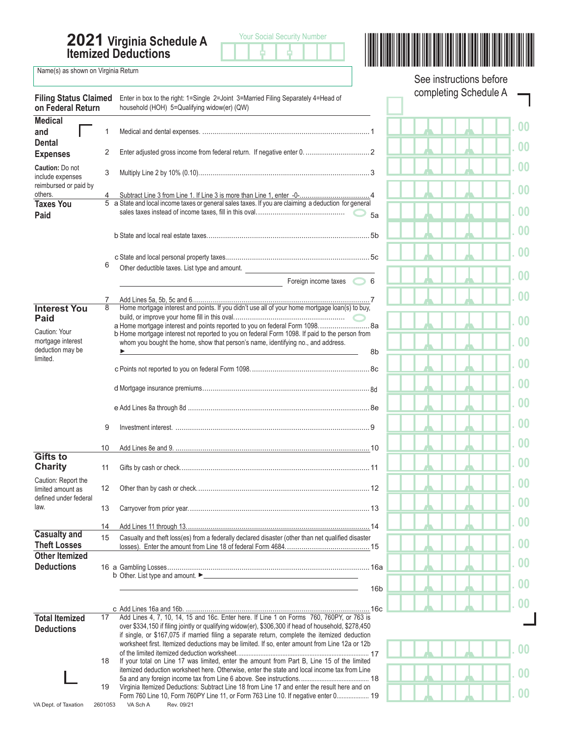**2021 Virginia Schedule A Itemized Deductions**





, , **. 00**

 $\Box$ 

, , **. 00**

, , **. 00**

, , **. 00**

, , **. 00**

, , **. 00**

, , **. 00**

, , **. 00**

, , **. 00**

, , **. 00**

, , **. 00**

, , **. 00**

, , **. 00**

, , **. 00**

, , **. 00**

, , **. 00**

, , **. 00**

, , **. 00**

, , **. 00**

, , **. 00**

, , **. 00**

, , **. 00**

, , **. 00**

, , **. 00**

, , **. 00**

, , **. 00**

, , **. 00**

Name(s) as shown on Virginia Return

| completing Schedule A<br><b>Filing Status Claimed</b><br>Enter in box to the right: 1=Single 2=Joint 3=Married Filing Separately 4=Head of<br>on Federal Return<br>household (HOH) 5=Qualifying widow(er) (QW)<br><b>Medical</b><br>and<br>1<br><b>Dental</b><br>2<br><b>Expenses</b><br>Caution: Do not<br>3<br>include expenses<br>reimbursed or paid by<br>others.<br>5 a State and local income taxes or general sales taxes. If you are claiming a deduction for general<br><b>Taxes You</b><br>5a<br>Paid<br>6<br>Other deductible taxes. List type and amount.<br>Foreign income taxes 6<br>7<br>Home mortgage interest and points. If you didn't use all of your home mortgage loan(s) to buy,<br><b>Interest You</b><br>8<br>Paid<br>a Home mortgage interest and points reported to you on federal Form 1098 8a<br>Caution: Your<br>b Home mortgage interest not reported to you on federal Form 1098. If paid to the person from<br>mortgage interest<br>whom you bought the home, show that person's name, identifying no., and address.<br>deduction may be<br>8b<br>limited.<br>9<br>10<br><b>Gifts to</b><br><b>Charity</b><br>11<br>Caution: Report the<br>12<br>limited amount as<br>defined under federal<br>law.<br>13<br>14<br><b>Casualty and</b><br>Casualty and theft loss(es) from a federally declared disaster (other than net qualified disaster<br>15<br><b>Theft Losses</b><br><b>Other Itemized</b><br><b>Deductions</b><br>16 <sub>b</sub> |  |  | See instructions before |  |  |
|---------------------------------------------------------------------------------------------------------------------------------------------------------------------------------------------------------------------------------------------------------------------------------------------------------------------------------------------------------------------------------------------------------------------------------------------------------------------------------------------------------------------------------------------------------------------------------------------------------------------------------------------------------------------------------------------------------------------------------------------------------------------------------------------------------------------------------------------------------------------------------------------------------------------------------------------------------------------------------------------------------------------------------------------------------------------------------------------------------------------------------------------------------------------------------------------------------------------------------------------------------------------------------------------------------------------------------------------------------------------------------------------------------------------------------------------------------------------------|--|--|-------------------------|--|--|
|                                                                                                                                                                                                                                                                                                                                                                                                                                                                                                                                                                                                                                                                                                                                                                                                                                                                                                                                                                                                                                                                                                                                                                                                                                                                                                                                                                                                                                                                           |  |  |                         |  |  |
|                                                                                                                                                                                                                                                                                                                                                                                                                                                                                                                                                                                                                                                                                                                                                                                                                                                                                                                                                                                                                                                                                                                                                                                                                                                                                                                                                                                                                                                                           |  |  |                         |  |  |
|                                                                                                                                                                                                                                                                                                                                                                                                                                                                                                                                                                                                                                                                                                                                                                                                                                                                                                                                                                                                                                                                                                                                                                                                                                                                                                                                                                                                                                                                           |  |  |                         |  |  |
|                                                                                                                                                                                                                                                                                                                                                                                                                                                                                                                                                                                                                                                                                                                                                                                                                                                                                                                                                                                                                                                                                                                                                                                                                                                                                                                                                                                                                                                                           |  |  |                         |  |  |
|                                                                                                                                                                                                                                                                                                                                                                                                                                                                                                                                                                                                                                                                                                                                                                                                                                                                                                                                                                                                                                                                                                                                                                                                                                                                                                                                                                                                                                                                           |  |  |                         |  |  |
|                                                                                                                                                                                                                                                                                                                                                                                                                                                                                                                                                                                                                                                                                                                                                                                                                                                                                                                                                                                                                                                                                                                                                                                                                                                                                                                                                                                                                                                                           |  |  |                         |  |  |
|                                                                                                                                                                                                                                                                                                                                                                                                                                                                                                                                                                                                                                                                                                                                                                                                                                                                                                                                                                                                                                                                                                                                                                                                                                                                                                                                                                                                                                                                           |  |  |                         |  |  |
|                                                                                                                                                                                                                                                                                                                                                                                                                                                                                                                                                                                                                                                                                                                                                                                                                                                                                                                                                                                                                                                                                                                                                                                                                                                                                                                                                                                                                                                                           |  |  |                         |  |  |
|                                                                                                                                                                                                                                                                                                                                                                                                                                                                                                                                                                                                                                                                                                                                                                                                                                                                                                                                                                                                                                                                                                                                                                                                                                                                                                                                                                                                                                                                           |  |  |                         |  |  |
|                                                                                                                                                                                                                                                                                                                                                                                                                                                                                                                                                                                                                                                                                                                                                                                                                                                                                                                                                                                                                                                                                                                                                                                                                                                                                                                                                                                                                                                                           |  |  |                         |  |  |
|                                                                                                                                                                                                                                                                                                                                                                                                                                                                                                                                                                                                                                                                                                                                                                                                                                                                                                                                                                                                                                                                                                                                                                                                                                                                                                                                                                                                                                                                           |  |  |                         |  |  |
|                                                                                                                                                                                                                                                                                                                                                                                                                                                                                                                                                                                                                                                                                                                                                                                                                                                                                                                                                                                                                                                                                                                                                                                                                                                                                                                                                                                                                                                                           |  |  |                         |  |  |
|                                                                                                                                                                                                                                                                                                                                                                                                                                                                                                                                                                                                                                                                                                                                                                                                                                                                                                                                                                                                                                                                                                                                                                                                                                                                                                                                                                                                                                                                           |  |  |                         |  |  |
|                                                                                                                                                                                                                                                                                                                                                                                                                                                                                                                                                                                                                                                                                                                                                                                                                                                                                                                                                                                                                                                                                                                                                                                                                                                                                                                                                                                                                                                                           |  |  |                         |  |  |
|                                                                                                                                                                                                                                                                                                                                                                                                                                                                                                                                                                                                                                                                                                                                                                                                                                                                                                                                                                                                                                                                                                                                                                                                                                                                                                                                                                                                                                                                           |  |  |                         |  |  |
|                                                                                                                                                                                                                                                                                                                                                                                                                                                                                                                                                                                                                                                                                                                                                                                                                                                                                                                                                                                                                                                                                                                                                                                                                                                                                                                                                                                                                                                                           |  |  |                         |  |  |
|                                                                                                                                                                                                                                                                                                                                                                                                                                                                                                                                                                                                                                                                                                                                                                                                                                                                                                                                                                                                                                                                                                                                                                                                                                                                                                                                                                                                                                                                           |  |  |                         |  |  |
|                                                                                                                                                                                                                                                                                                                                                                                                                                                                                                                                                                                                                                                                                                                                                                                                                                                                                                                                                                                                                                                                                                                                                                                                                                                                                                                                                                                                                                                                           |  |  |                         |  |  |
|                                                                                                                                                                                                                                                                                                                                                                                                                                                                                                                                                                                                                                                                                                                                                                                                                                                                                                                                                                                                                                                                                                                                                                                                                                                                                                                                                                                                                                                                           |  |  |                         |  |  |
|                                                                                                                                                                                                                                                                                                                                                                                                                                                                                                                                                                                                                                                                                                                                                                                                                                                                                                                                                                                                                                                                                                                                                                                                                                                                                                                                                                                                                                                                           |  |  |                         |  |  |
|                                                                                                                                                                                                                                                                                                                                                                                                                                                                                                                                                                                                                                                                                                                                                                                                                                                                                                                                                                                                                                                                                                                                                                                                                                                                                                                                                                                                                                                                           |  |  |                         |  |  |
|                                                                                                                                                                                                                                                                                                                                                                                                                                                                                                                                                                                                                                                                                                                                                                                                                                                                                                                                                                                                                                                                                                                                                                                                                                                                                                                                                                                                                                                                           |  |  |                         |  |  |
|                                                                                                                                                                                                                                                                                                                                                                                                                                                                                                                                                                                                                                                                                                                                                                                                                                                                                                                                                                                                                                                                                                                                                                                                                                                                                                                                                                                                                                                                           |  |  |                         |  |  |
|                                                                                                                                                                                                                                                                                                                                                                                                                                                                                                                                                                                                                                                                                                                                                                                                                                                                                                                                                                                                                                                                                                                                                                                                                                                                                                                                                                                                                                                                           |  |  |                         |  |  |
|                                                                                                                                                                                                                                                                                                                                                                                                                                                                                                                                                                                                                                                                                                                                                                                                                                                                                                                                                                                                                                                                                                                                                                                                                                                                                                                                                                                                                                                                           |  |  |                         |  |  |
| <b>Total Itemized</b><br>17<br>over \$334,150 if filing jointly or qualifying widow(er), \$306,300 if head of household, \$278,450<br><b>Deductions</b><br>if single, or \$167,075 if married filing a separate return, complete the itemized deduction                                                                                                                                                                                                                                                                                                                                                                                                                                                                                                                                                                                                                                                                                                                                                                                                                                                                                                                                                                                                                                                                                                                                                                                                                   |  |  |                         |  |  |
| worksheet first. Itemized deductions may be limited. If so, enter amount from Line 12a or 12b<br>If your total on Line 17 was limited, enter the amount from Part B, Line 15 of the limited<br>18                                                                                                                                                                                                                                                                                                                                                                                                                                                                                                                                                                                                                                                                                                                                                                                                                                                                                                                                                                                                                                                                                                                                                                                                                                                                         |  |  |                         |  |  |
| itemized deduction worksheet here. Otherwise, enter the state and local income tax from Line<br>Virginia Itemized Deductions: Subtract Line 18 from Line 17 and enter the result here and on<br>19                                                                                                                                                                                                                                                                                                                                                                                                                                                                                                                                                                                                                                                                                                                                                                                                                                                                                                                                                                                                                                                                                                                                                                                                                                                                        |  |  |                         |  |  |
| Form 760 Line 10, Form 760PY Line 11, or Form 763 Line 10. If negative enter 0 19<br>VA Sch A<br>Rev. 09/21<br>VA Dept. of Taxation<br>2601053                                                                                                                                                                                                                                                                                                                                                                                                                                                                                                                                                                                                                                                                                                                                                                                                                                                                                                                                                                                                                                                                                                                                                                                                                                                                                                                            |  |  |                         |  |  |